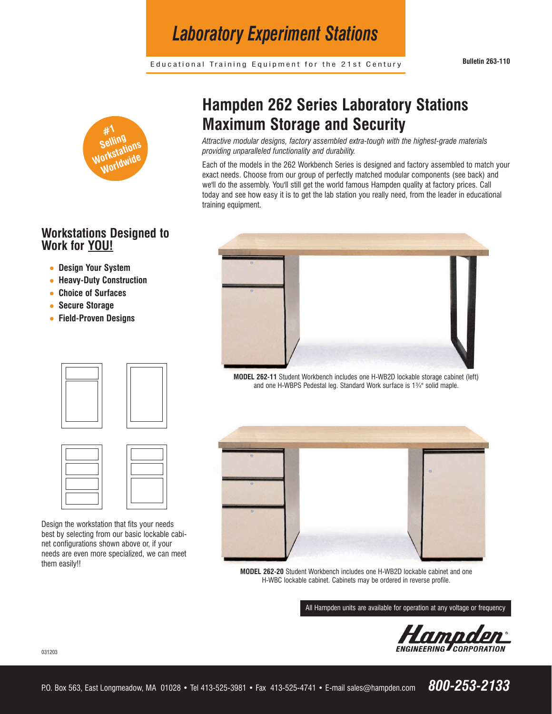Educational Training Equipment for the 21st Century **Bulletin 263-110**

*Laboratory Experiment Stations*



## **Workstations Designed to Work for YOU!**

- **Design Your System**
- **Heavy-Duty Construction**
- **Choice of Surfaces**
- **Secure Storage**
- **Field-Proven Designs**





Design the workstation that fits your needs best by selecting from our basic lockable cabinet configurations shown above or, if your needs are even more specialized, we can meet them easily!!

## **Hampden 262 Series Laboratory Stations Maximum Storage and Security**

*Attractive modular designs, factory assembled extra-tough with the highest-grade materials providing unparalleled functionality and durability.* 

Each of the models in the 262 Workbench Series is designed and factory assembled to match your exact needs. Choose from our group of perfectly matched modular components (see back) and we'll do the assembly. You'll still get the world famous Hampden quality at factory prices. Call today and see how easy it is to get the lab station you really need, from the leader in educational training equipment.



**MODEL 262-11** Student Workbench includes one H-WB2D lockable storage cabinet (left) and one H-WBPS Pedestal leg. Standard Work surface is 1¾" solid maple.



**MODEL 262-20** Student Workbench includes one H-WB2D lockable cabinet and one H-WBC lockable cabinet. Cabinets may be ordered in reverse profile.

All Hampden units are available for operation at any voltage or frequency